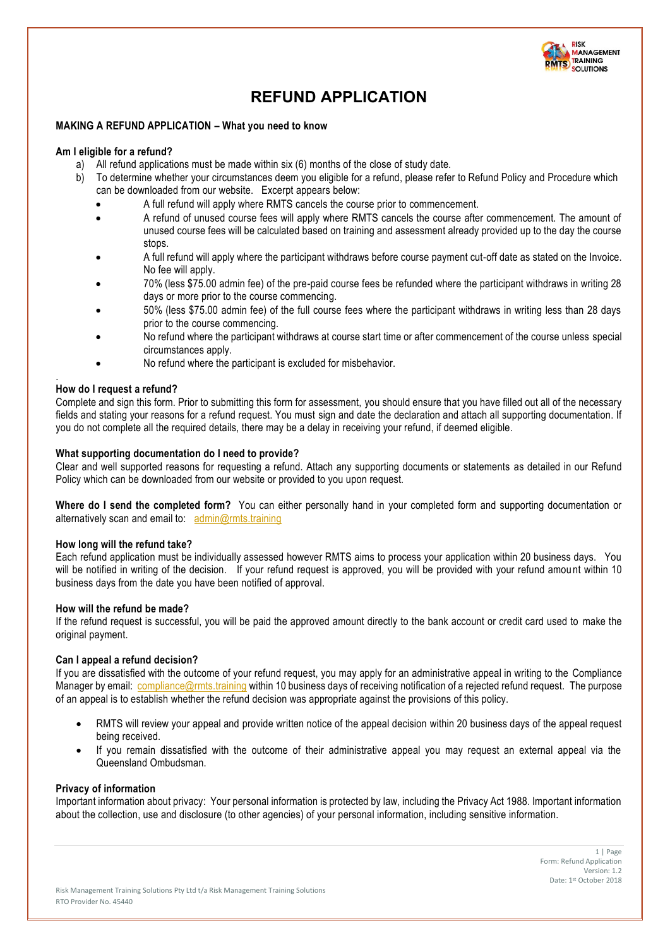

# **REFUND APPLICATION**

## **MAKING A REFUND APPLICATION – What you need to know**

#### **Am I eligible for a refund?**

- 
- a) All refund applications must be made within six (6) months of the close of study date.<br>b) To determine whether your circumstances deem you eligible for a refund, please refer b) To determine whether your circumstances deem you eligible for a refund, please refer to Refund Policy and Procedure which can be downloaded from our website. Excerpt appears below:
	- A full refund will apply where RMTS cancels the course prior to commencement.
	- A refund of unused course fees will apply where RMTS cancels the course after commencement. The amount of unused course fees will be calculated based on training and assessment already provided up to the day the course stops.
	- A full refund will apply where the participant withdraws before course payment cut-off date as stated on the Invoice. No fee will apply.
	- 70% (less \$75.00 admin fee) of the pre-paid course fees be refunded where the participant withdraws in writing 28 days or more prior to the course commencing.
	- 50% (less \$75.00 admin fee) of the full course fees where the participant withdraws in writing less than 28 days prior to the course commencing.
	- No refund where the participant withdraws at course start time or after commencement of the course unless special circumstances apply.
	- No refund where the participant is excluded for misbehavior.

#### . **How do I request a refund?**

Complete and sign this form. Prior to submitting this form for assessment, you should ensure that you have filled out all of the necessary fields and stating your reasons for a refund request. You must sign and date the declaration and attach all supporting documentation. If you do not complete all the required details, there may be a delay in receiving your refund, if deemed eligible.

## **What supporting documentation do I need to provide?**

Clear and well supported reasons for requesting a refund. Attach any supporting documents or statements as detailed in our Refund Policy which can be downloaded from our website or provided to you upon request.

**Where do I send the completed form?** You can either personally hand in your completed form and supporting documentation or alternatively scan and email to: [admin@rmts.training](mailto:admin@rmts.training)

#### **How long will the refund take?**

Each refund application must be individually assessed however RMTS aims to process your application within 20 business days. You will be notified in writing of the decision. If your refund request is approved, you will be provided with your refund amou nt within 10 business days from the date you have been notified of approval.

## **How will the refund be made?**

If the refund request is successful, you will be paid the approved amount directly to the bank account or credit card used to make the original payment.

## **Can I appeal a refund decision?**

If you are dissatisfied with the outcome of your refund request, you may apply for an administrative appeal in writing to the Compliance Manager by email: [compliance@rmts.training](mailto:compliance@rmts.training) within 10 business days of receiving notification of a rejected refund request. The purpose of an appeal is to establish whether the refund decision was appropriate against the provisions of this policy.

- RMTS will review your appeal and provide written notice of the appeal decision within 20 business days of the appeal request being received.
- If you remain dissatisfied with the outcome of their administrative appeal you may request an external appeal via the Queensland Ombudsman.

#### **Privacy of information**

Important information about privacy: Your personal information is protected by law, including the Privacy Act 1988. Important information about the collection, use and disclosure (to other agencies) of your personal information, including sensitive information.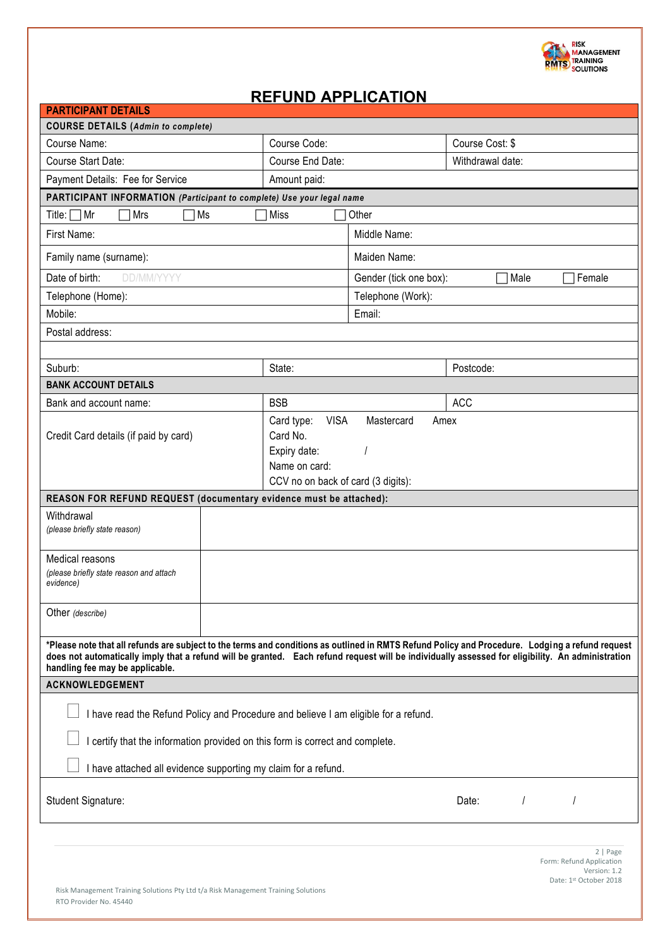

# **REFUND APPLICATION**

| <b>PARTICIPANT DETAILS</b>                                                                                                                                                                                                                                                                                                             |                                                                                                              |                                          |                         |  |
|----------------------------------------------------------------------------------------------------------------------------------------------------------------------------------------------------------------------------------------------------------------------------------------------------------------------------------------|--------------------------------------------------------------------------------------------------------------|------------------------------------------|-------------------------|--|
| <b>COURSE DETAILS (Admin to complete)</b>                                                                                                                                                                                                                                                                                              |                                                                                                              |                                          |                         |  |
| Course Name:                                                                                                                                                                                                                                                                                                                           | Course Code:                                                                                                 |                                          | Course Cost: \$         |  |
| Course Start Date:                                                                                                                                                                                                                                                                                                                     | Course End Date:                                                                                             |                                          | Withdrawal date:        |  |
| Payment Details: Fee for Service<br>Amount paid:                                                                                                                                                                                                                                                                                       |                                                                                                              |                                          |                         |  |
| PARTICIPANT INFORMATION (Participant to complete) Use your legal name                                                                                                                                                                                                                                                                  |                                                                                                              |                                          |                         |  |
| Title: $\Box$ Mr<br>Ms<br>Mrs<br>Miss<br>Other                                                                                                                                                                                                                                                                                         |                                                                                                              |                                          |                         |  |
| First Name:                                                                                                                                                                                                                                                                                                                            |                                                                                                              | Middle Name:                             |                         |  |
| Family name (surname):                                                                                                                                                                                                                                                                                                                 |                                                                                                              | Maiden Name:                             |                         |  |
| DD/MM/YYYY<br>Date of birth:                                                                                                                                                                                                                                                                                                           |                                                                                                              | Gender (tick one box):<br>Male<br>Female |                         |  |
| Telephone (Home):                                                                                                                                                                                                                                                                                                                      |                                                                                                              | Telephone (Work):                        |                         |  |
| Mobile:                                                                                                                                                                                                                                                                                                                                |                                                                                                              | Email:                                   |                         |  |
| Postal address:                                                                                                                                                                                                                                                                                                                        |                                                                                                              |                                          |                         |  |
|                                                                                                                                                                                                                                                                                                                                        |                                                                                                              |                                          |                         |  |
| Suburb:                                                                                                                                                                                                                                                                                                                                | State:                                                                                                       |                                          | Postcode:               |  |
| <b>BANK ACCOUNT DETAILS</b>                                                                                                                                                                                                                                                                                                            |                                                                                                              |                                          |                         |  |
| Bank and account name:                                                                                                                                                                                                                                                                                                                 | <b>BSB</b>                                                                                                   |                                          | <b>ACC</b>              |  |
| Credit Card details (if paid by card)                                                                                                                                                                                                                                                                                                  | <b>VISA</b><br>Card type:<br>Card No.<br>Expiry date:<br>Name on card:<br>CCV no on back of card (3 digits): | Mastercard<br>Amex                       |                         |  |
| REASON FOR REFUND REQUEST (documentary evidence must be attached):                                                                                                                                                                                                                                                                     |                                                                                                              |                                          |                         |  |
| Withdrawal<br>(please briefly state reason)                                                                                                                                                                                                                                                                                            |                                                                                                              |                                          |                         |  |
| Medical reasons<br>(please briefly state reason and attach<br>evidence)                                                                                                                                                                                                                                                                |                                                                                                              |                                          |                         |  |
| Other (describe)                                                                                                                                                                                                                                                                                                                       |                                                                                                              |                                          |                         |  |
| *Please note that all refunds are subject to the terms and conditions as outlined in RMTS Refund Policy and Procedure. Lodging a refund request<br>does not automatically imply that a refund will be granted. Each refund request will be individually assessed for eligibility. An administration<br>handling fee may be applicable. |                                                                                                              |                                          |                         |  |
| <b>ACKNOWLEDGEMENT</b>                                                                                                                                                                                                                                                                                                                 |                                                                                                              |                                          |                         |  |
| I have read the Refund Policy and Procedure and believe I am eligible for a refund.<br>certify that the information provided on this form is correct and complete.<br>I have attached all evidence supporting my claim for a refund.                                                                                                   |                                                                                                              |                                          |                         |  |
| Student Signature:                                                                                                                                                                                                                                                                                                                     |                                                                                                              |                                          | $\overline{I}$<br>Date: |  |
| 2   Page<br>Form: Refund Application<br>Version: 1.2<br>Date: 1st October 2018<br>Risk Management Training Solutions Pty Ltd t/a Risk Management Training Solutions<br>RTO Provider No. 45440                                                                                                                                          |                                                                                                              |                                          |                         |  |